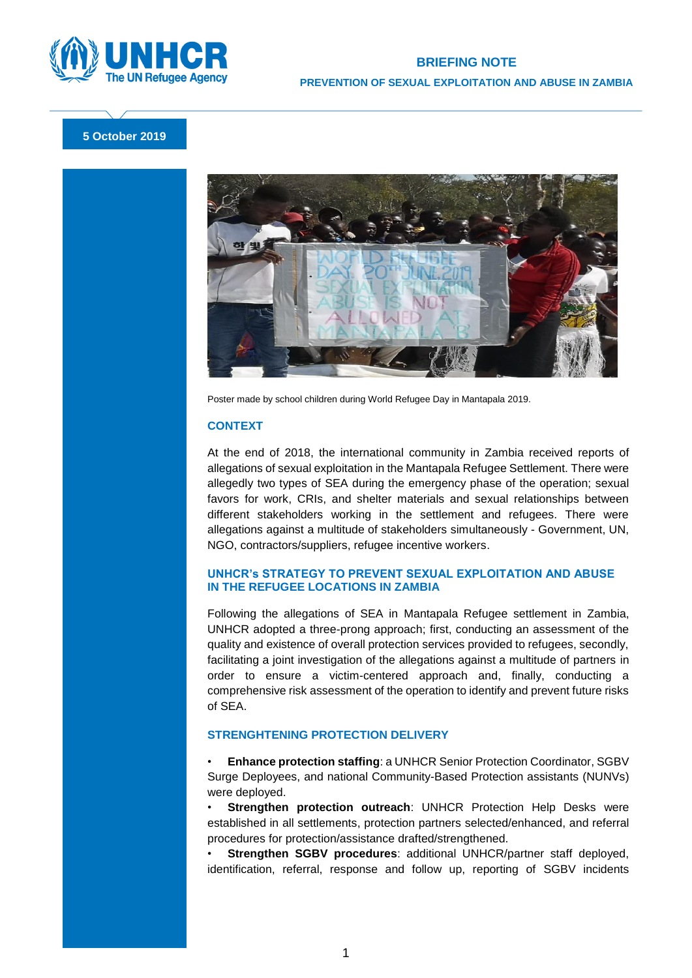

# **BRIEFING NOTE PREVENTION OF SEXUAL EXPLOITATION AND ABUSE IN ZAMBIA**

## **5 October 2019**



Poster made by school children during World Refugee Day in Mantapala 2019.

#### **CONTEXT**

At the end of 2018, the international community in Zambia received reports of allegations of sexual exploitation in the Mantapala Refugee Settlement. There were allegedly two types of SEA during the emergency phase of the operation; sexual favors for work, CRIs, and shelter materials and sexual relationships between different stakeholders working in the settlement and refugees. There were allegations against a multitude of stakeholders simultaneously - Government, UN, NGO, contractors/suppliers, refugee incentive workers.

## **UNHCR's STRATEGY TO PREVENT SEXUAL EXPLOITATION AND ABUSE IN THE REFUGEE LOCATIONS IN ZAMBIA**

Following the allegations of SEA in Mantapala Refugee settlement in Zambia, UNHCR adopted a three-prong approach; first, conducting an assessment of the quality and existence of overall protection services provided to refugees, secondly, facilitating a joint investigation of the allegations against a multitude of partners in order to ensure a victim-centered approach and, finally, conducting a comprehensive risk assessment of the operation to identify and prevent future risks of SEA.

#### **STRENGHTENING PROTECTION DELIVERY**

• **Enhance protection staffing**: a UNHCR Senior Protection Coordinator, SGBV Surge Deployees, and national Community-Based Protection assistants (NUNVs) were deployed.

**Strengthen protection outreach: UNHCR Protection Help Desks were** established in all settlements, protection partners selected/enhanced, and referral procedures for protection/assistance drafted/strengthened.

• **Strengthen SGBV procedures**: additional UNHCR/partner staff deployed, identification, referral, response and follow up, reporting of SGBV incidents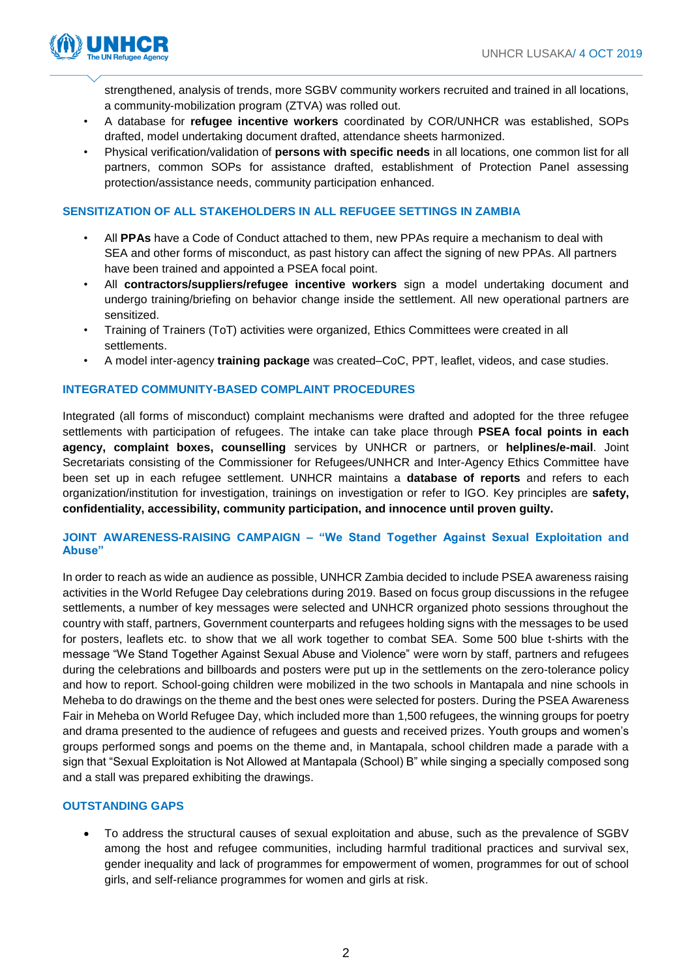

strengthened, analysis of trends, more SGBV community workers recruited and trained in all locations, a community-mobilization program (ZTVA) was rolled out.

- A database for **refugee incentive workers** coordinated by COR/UNHCR was established, SOPs drafted, model undertaking document drafted, attendance sheets harmonized.
- Physical verification/validation of **persons with specific needs** in all locations, one common list for all partners, common SOPs for assistance drafted, establishment of Protection Panel assessing protection/assistance needs, community participation enhanced.

## **SENSITIZATION OF ALL STAKEHOLDERS IN ALL REFUGEE SETTINGS IN ZAMBIA**

- All **PPAs** have a Code of Conduct attached to them, new PPAs require a mechanism to deal with SEA and other forms of misconduct, as past history can affect the signing of new PPAs. All partners have been trained and appointed a PSEA focal point.
- All **contractors/suppliers/refugee incentive workers** sign a model undertaking document and undergo training/briefing on behavior change inside the settlement. All new operational partners are sensitized.
- Training of Trainers (ToT) activities were organized, Ethics Committees were created in all settlements.
- A model inter-agency **training package** was created–CoC, PPT, leaflet, videos, and case studies.

## **INTEGRATED COMMUNITY-BASED COMPLAINT PROCEDURES**

Integrated (all forms of misconduct) complaint mechanisms were drafted and adopted for the three refugee settlements with participation of refugees. The intake can take place through **PSEA focal points in each agency, complaint boxes, counselling** services by UNHCR or partners, or **helplines/e-mail**. Joint Secretariats consisting of the Commissioner for Refugees/UNHCR and Inter-Agency Ethics Committee have been set up in each refugee settlement. UNHCR maintains a **database of reports** and refers to each organization/institution for investigation, trainings on investigation or refer to IGO. Key principles are **safety, confidentiality, accessibility, community participation, and innocence until proven guilty.**

#### **JOINT AWARENESS-RAISING CAMPAIGN – "We Stand Together Against Sexual Exploitation and Abuse"**

In order to reach as wide an audience as possible, UNHCR Zambia decided to include PSEA awareness raising activities in the World Refugee Day celebrations during 2019. Based on focus group discussions in the refugee settlements, a number of key messages were selected and UNHCR organized photo sessions throughout the country with staff, partners, Government counterparts and refugees holding signs with the messages to be used for posters, leaflets etc. to show that we all work together to combat SEA. Some 500 blue t-shirts with the message "We Stand Together Against Sexual Abuse and Violence" were worn by staff, partners and refugees during the celebrations and billboards and posters were put up in the settlements on the zero-tolerance policy and how to report. School-going children were mobilized in the two schools in Mantapala and nine schools in Meheba to do drawings on the theme and the best ones were selected for posters. During the PSEA Awareness Fair in Meheba on World Refugee Day, which included more than 1,500 refugees, the winning groups for poetry and drama presented to the audience of refugees and guests and received prizes. Youth groups and women's groups performed songs and poems on the theme and, in Mantapala, school children made a parade with a sign that "Sexual Exploitation is Not Allowed at Mantapala (School) B" while singing a specially composed song and a stall was prepared exhibiting the drawings.

## **OUTSTANDING GAPS**

• To address the structural causes of sexual exploitation and abuse, such as the prevalence of SGBV among the host and refugee communities, including harmful traditional practices and survival sex, gender inequality and lack of programmes for empowerment of women, programmes for out of school girls, and self-reliance programmes for women and girls at risk.